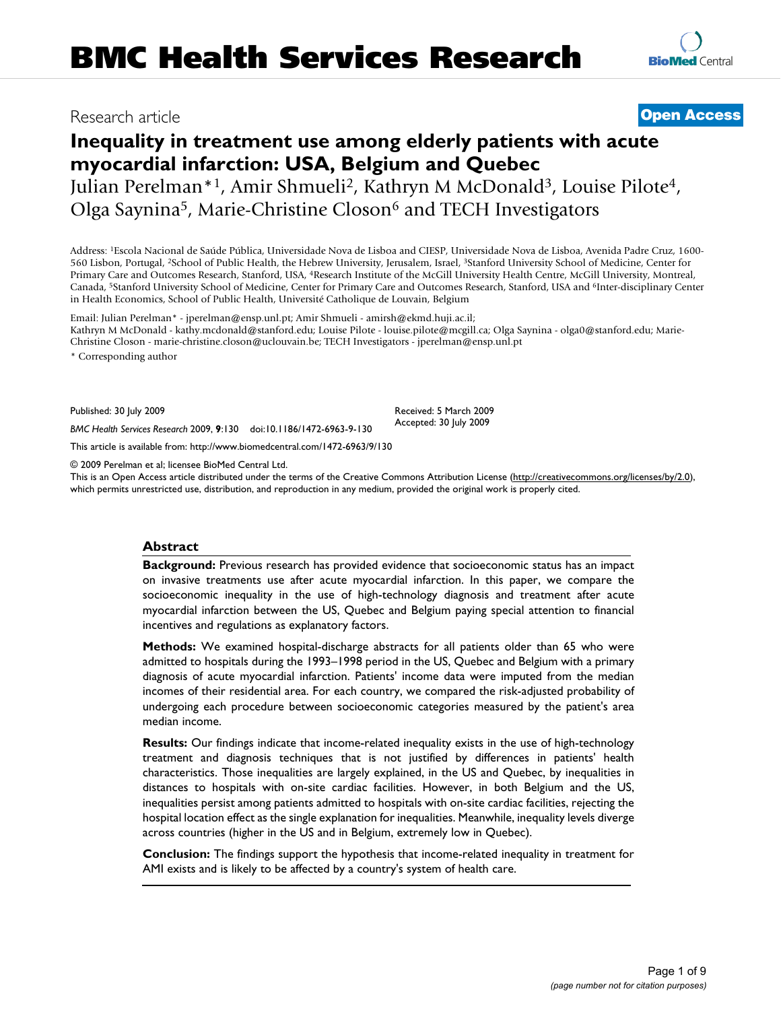# Research article **[Open Access](http://www.biomedcentral.com/info/about/charter/) Inequality in treatment use among elderly patients with acute myocardial infarction: USA, Belgium and Quebec**

Julian Perelman\*1, Amir Shmueli2, Kathryn M McDonald3, Louise Pilote4, Olga Saynina<sup>5</sup>, Marie-Christine Closon<sup>6</sup> and TECH Investigators

Address: 1Escola Nacional de Saúde Pública, Universidade Nova de Lisboa and CIESP, Universidade Nova de Lisboa, Avenida Padre Cruz, 1600- 560 Lisbon, Portugal, 2School of Public Health, the Hebrew University, Jerusalem, Israel, 3Stanford University School of Medicine, Center for Primary Care and Outcomes Research, Stanford, USA, 4Research Institute of the McGill University Health Centre, McGill University, Montreal, Canada, 5Stanford University School of Medicine, Center for Primary Care and Outcomes Research, Stanford, USA and 6Inter-disciplinary Center in Health Economics, School of Public Health, Université Catholique de Louvain, Belgium

Email: Julian Perelman\* - jperelman@ensp.unl.pt; Amir Shmueli - amirsh@ekmd.huji.ac.il;

Kathryn M McDonald - kathy.mcdonald@stanford.edu; Louise Pilote - louise.pilote@mcgill.ca; Olga Saynina - olga0@stanford.edu; Marie-Christine Closon - marie-christine.closon@uclouvain.be; TECH Investigators - jperelman@ensp.unl.pt

\* Corresponding author

Published: 30 July 2009

*BMC Health Services Research* 2009, **9**:130 doi:10.1186/1472-6963-9-130

[This article is available from: http://www.biomedcentral.com/1472-6963/9/130](http://www.biomedcentral.com/1472-6963/9/130)

© 2009 Perelman et al; licensee BioMed Central Ltd.

This is an Open Access article distributed under the terms of the Creative Commons Attribution License [\(http://creativecommons.org/licenses/by/2.0\)](http://creativecommons.org/licenses/by/2.0), which permits unrestricted use, distribution, and reproduction in any medium, provided the original work is properly cited.

# **Abstract**

**Background:** Previous research has provided evidence that socioeconomic status has an impact on invasive treatments use after acute myocardial infarction. In this paper, we compare the socioeconomic inequality in the use of high-technology diagnosis and treatment after acute myocardial infarction between the US, Quebec and Belgium paying special attention to financial incentives and regulations as explanatory factors.

**Methods:** We examined hospital-discharge abstracts for all patients older than 65 who were admitted to hospitals during the 1993–1998 period in the US, Quebec and Belgium with a primary diagnosis of acute myocardial infarction. Patients' income data were imputed from the median incomes of their residential area. For each country, we compared the risk-adjusted probability of undergoing each procedure between socioeconomic categories measured by the patient's area median income.

**Results:** Our findings indicate that income-related inequality exists in the use of high-technology treatment and diagnosis techniques that is not justified by differences in patients' health characteristics. Those inequalities are largely explained, in the US and Quebec, by inequalities in distances to hospitals with on-site cardiac facilities. However, in both Belgium and the US, inequalities persist among patients admitted to hospitals with on-site cardiac facilities, rejecting the hospital location effect as the single explanation for inequalities. Meanwhile, inequality levels diverge across countries (higher in the US and in Belgium, extremely low in Quebec).

**Conclusion:** The findings support the hypothesis that income-related inequality in treatment for AMI exists and is likely to be affected by a country's system of health care.

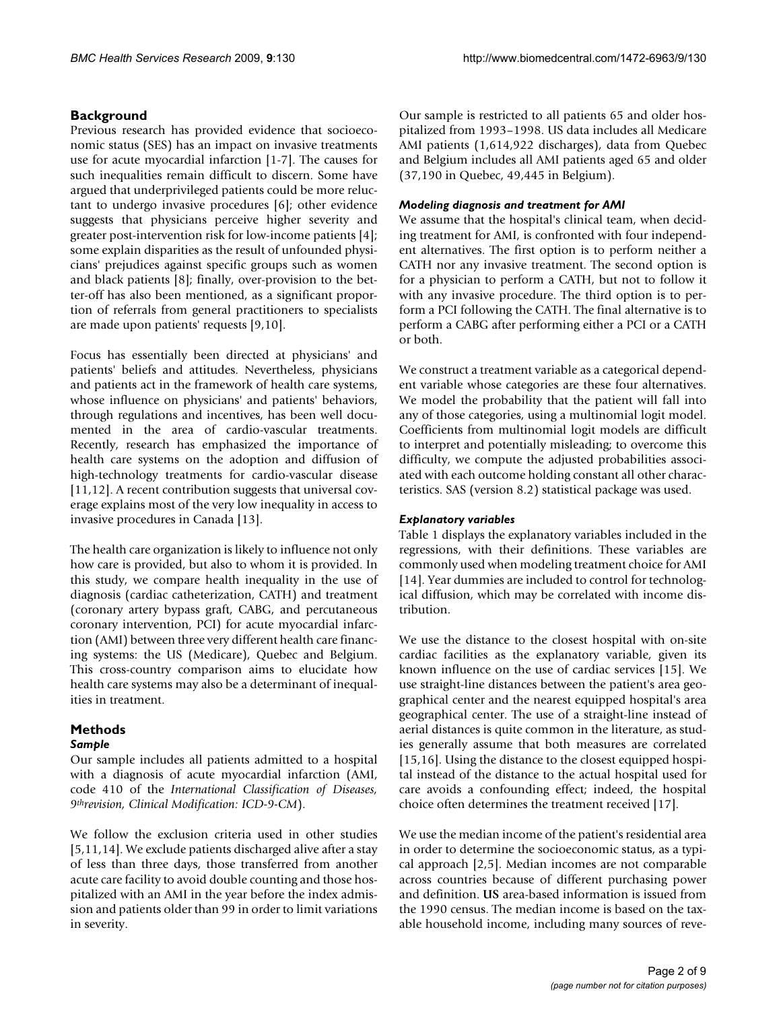# **Background**

Previous research has provided evidence that socioeconomic status (SES) has an impact on invasive treatments use for acute myocardial infarction [1-7]. The causes for such inequalities remain difficult to discern. Some have argued that underprivileged patients could be more reluctant to undergo invasive procedures [6]; other evidence suggests that physicians perceive higher severity and greater post-intervention risk for low-income patients [4]; some explain disparities as the result of unfounded physicians' prejudices against specific groups such as women and black patients [8]; finally, over-provision to the better-off has also been mentioned, as a significant proportion of referrals from general practitioners to specialists are made upon patients' requests [9,10].

Focus has essentially been directed at physicians' and patients' beliefs and attitudes. Nevertheless, physicians and patients act in the framework of health care systems, whose influence on physicians' and patients' behaviors, through regulations and incentives, has been well documented in the area of cardio-vascular treatments. Recently, research has emphasized the importance of health care systems on the adoption and diffusion of high-technology treatments for cardio-vascular disease [11,12]. A recent contribution suggests that universal coverage explains most of the very low inequality in access to invasive procedures in Canada [13].

The health care organization is likely to influence not only how care is provided, but also to whom it is provided. In this study, we compare health inequality in the use of diagnosis (cardiac catheterization, CATH) and treatment (coronary artery bypass graft, CABG, and percutaneous coronary intervention, PCI) for acute myocardial infarction (AMI) between three very different health care financing systems: the US (Medicare), Quebec and Belgium. This cross-country comparison aims to elucidate how health care systems may also be a determinant of inequalities in treatment.

### **Methods** *Sample*

Our sample includes all patients admitted to a hospital with a diagnosis of acute myocardial infarction (AMI, code 410 of the *International Classification of Diseases, 9threvision, Clinical Modification: ICD-9-CM*).

We follow the exclusion criteria used in other studies [5,11,14]. We exclude patients discharged alive after a stay of less than three days, those transferred from another acute care facility to avoid double counting and those hospitalized with an AMI in the year before the index admission and patients older than 99 in order to limit variations in severity.

Our sample is restricted to all patients 65 and older hospitalized from 1993–1998. US data includes all Medicare AMI patients (1,614,922 discharges), data from Quebec and Belgium includes all AMI patients aged 65 and older (37,190 in Quebec, 49,445 in Belgium).

# *Modeling diagnosis and treatment for AMI*

We assume that the hospital's clinical team, when deciding treatment for AMI, is confronted with four independent alternatives. The first option is to perform neither a CATH nor any invasive treatment. The second option is for a physician to perform a CATH, but not to follow it with any invasive procedure. The third option is to perform a PCI following the CATH. The final alternative is to perform a CABG after performing either a PCI or a CATH or both.

We construct a treatment variable as a categorical dependent variable whose categories are these four alternatives. We model the probability that the patient will fall into any of those categories, using a multinomial logit model. Coefficients from multinomial logit models are difficult to interpret and potentially misleading; to overcome this difficulty, we compute the adjusted probabilities associated with each outcome holding constant all other characteristics. SAS (version 8.2) statistical package was used.

# *Explanatory variables*

Table 1 displays the explanatory variables included in the regressions, with their definitions. These variables are commonly used when modeling treatment choice for AMI [14]. Year dummies are included to control for technological diffusion, which may be correlated with income distribution.

We use the distance to the closest hospital with on-site cardiac facilities as the explanatory variable, given its known influence on the use of cardiac services [15]. We use straight-line distances between the patient's area geographical center and the nearest equipped hospital's area geographical center. The use of a straight-line instead of aerial distances is quite common in the literature, as studies generally assume that both measures are correlated [15,16]. Using the distance to the closest equipped hospital instead of the distance to the actual hospital used for care avoids a confounding effect; indeed, the hospital choice often determines the treatment received [17].

We use the median income of the patient's residential area in order to determine the socioeconomic status, as a typical approach [2,5]. Median incomes are not comparable across countries because of different purchasing power and definition. **US** area-based information is issued from the 1990 census. The median income is based on the taxable household income, including many sources of reve-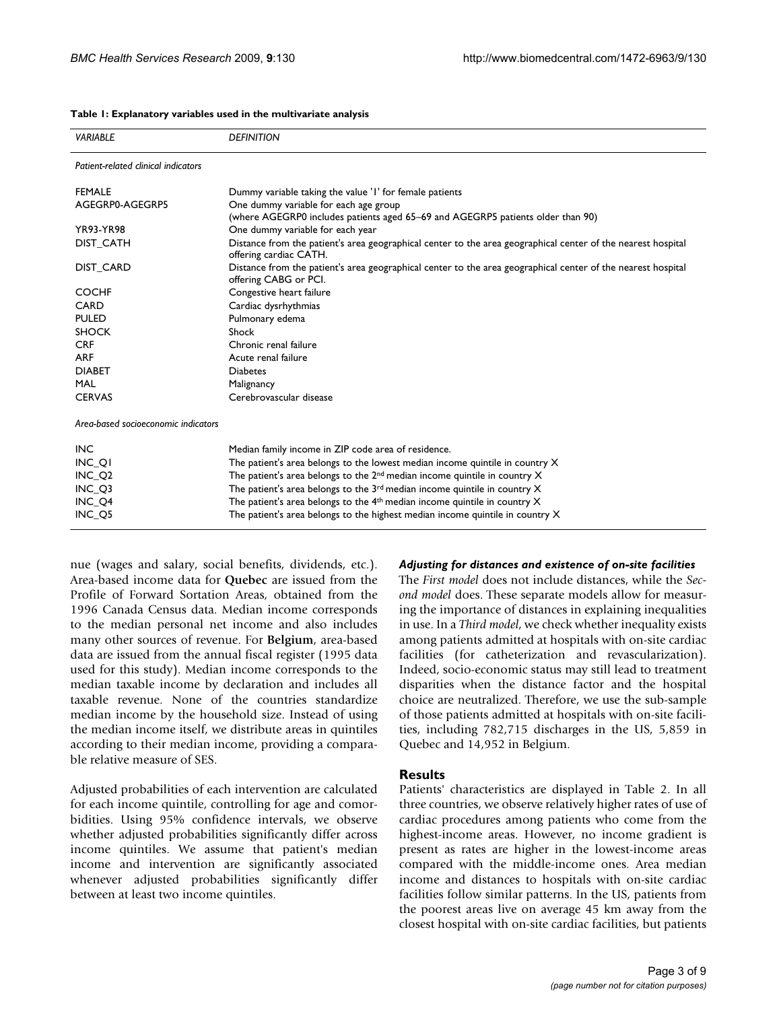| <b>VARIABLE</b>                     | <b>DEFINITION</b>                                                                                                                      |
|-------------------------------------|----------------------------------------------------------------------------------------------------------------------------------------|
| Patient-related clinical indicators |                                                                                                                                        |
| <b>FEMALE</b>                       | Dummy variable taking the value 'I' for female patients                                                                                |
| AGEGRP0-AGEGRP5                     | One dummy variable for each age group<br>(where AGEGRP0 includes patients aged 65–69 and AGEGRP5 patients older than 90)               |
| <b>YR93-YR98</b>                    | One dummy variable for each year                                                                                                       |
| DIST CATH                           | Distance from the patient's area geographical center to the area geographical center of the nearest hospital<br>offering cardiac CATH. |
| DIST_CARD                           | Distance from the patient's area geographical center to the area geographical center of the nearest hospital<br>offering CABG or PCI.  |
| <b>COCHF</b>                        | Congestive heart failure                                                                                                               |
| <b>CARD</b>                         | Cardiac dysrhythmias                                                                                                                   |
| <b>PULED</b>                        | Pulmonary edema                                                                                                                        |
| <b>SHOCK</b>                        | Shock                                                                                                                                  |
| <b>CRF</b>                          | Chronic renal failure                                                                                                                  |
| <b>ARF</b>                          | Acute renal failure                                                                                                                    |
| <b>DIABET</b>                       | <b>Diabetes</b>                                                                                                                        |
| MAL                                 | Malignancy                                                                                                                             |
| <b>CERVAS</b>                       | Cerebrovascular disease                                                                                                                |
| Area-based socioeconomic indicators |                                                                                                                                        |
| <b>INC</b>                          | Median family income in ZIP code area of residence.                                                                                    |
| INC_QI                              | The patient's area belongs to the lowest median income quintile in country X                                                           |
| $INC_Q2$                            | The patient's area belongs to the $2nd$ median income quintile in country X                                                            |
| $INC_Q3$                            | The patient's area belongs to the $3rd$ median income quintile in country X                                                            |
| INC O <sub>4</sub>                  | The patient's area belongs to the $4th$ median income quintile in country X                                                            |
| INC_Q5                              | The patient's area belongs to the highest median income quintile in country $X$                                                        |

#### **Table 1: Explanatory variables used in the multivariate analysis**

nue (wages and salary, social benefits, dividends, etc.). Area-based income data for **Quebec** are issued from the Profile of Forward Sortation Areas, obtained from the 1996 Canada Census data. Median income corresponds to the median personal net income and also includes many other sources of revenue. For **Belgium**, area-based data are issued from the annual fiscal register (1995 data used for this study). Median income corresponds to the median taxable income by declaration and includes all taxable revenue. None of the countries standardize median income by the household size. Instead of using the median income itself, we distribute areas in quintiles according to their median income, providing a comparable relative measure of SES.

Adjusted probabilities of each intervention are calculated for each income quintile, controlling for age and comorbidities. Using 95% confidence intervals, we observe whether adjusted probabilities significantly differ across income quintiles. We assume that patient's median income and intervention are significantly associated whenever adjusted probabilities significantly differ between at least two income quintiles.

#### *Adjusting for distances and existence of on-site facilities*

The *First model* does not include distances, while the *Second model* does. These separate models allow for measuring the importance of distances in explaining inequalities in use. In a *Third model*, we check whether inequality exists among patients admitted at hospitals with on-site cardiac facilities (for catheterization and revascularization). Indeed, socio-economic status may still lead to treatment disparities when the distance factor and the hospital choice are neutralized. Therefore, we use the sub-sample of those patients admitted at hospitals with on-site facilities, including 782,715 discharges in the US, 5,859 in Quebec and 14,952 in Belgium.

#### **Results**

Patients' characteristics are displayed in Table 2. In all three countries, we observe relatively higher rates of use of cardiac procedures among patients who come from the highest-income areas. However, no income gradient is present as rates are higher in the lowest-income areas compared with the middle-income ones. Area median income and distances to hospitals with on-site cardiac facilities follow similar patterns. In the US, patients from the poorest areas live on average 45 km away from the closest hospital with on-site cardiac facilities, but patients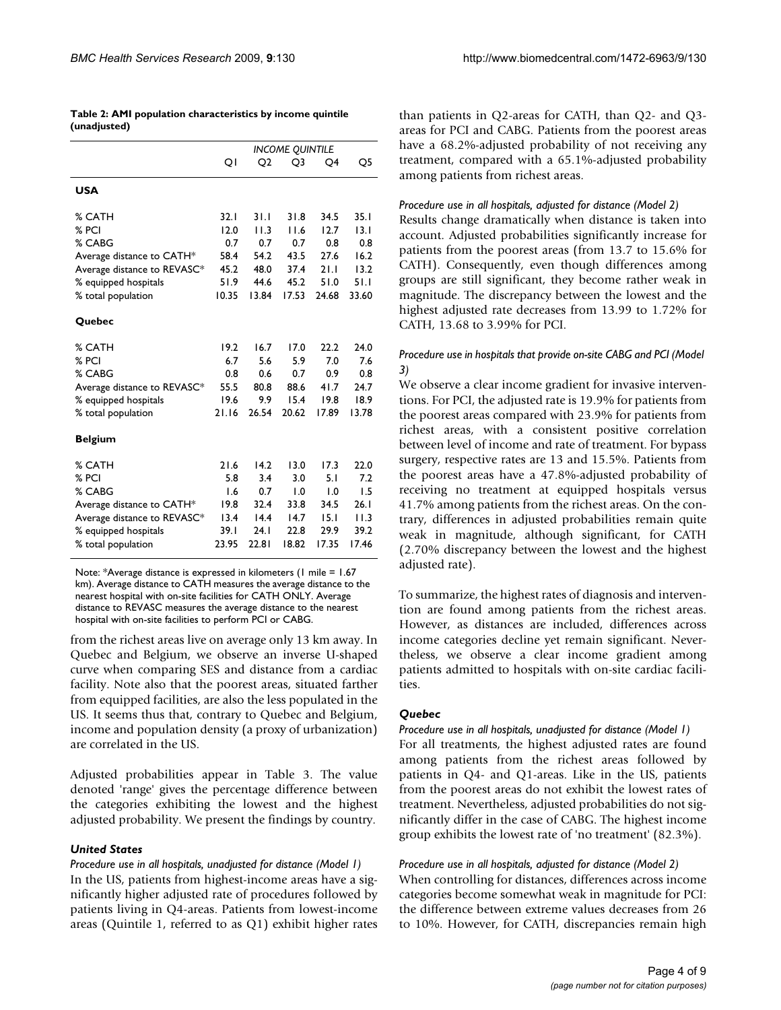**(unadjusted)**

**Table 2: AMI population characteristics by income quintile** 

|                             | <b>INCOME QUINTILE</b> |                |              |       |       |
|-----------------------------|------------------------|----------------|--------------|-------|-------|
|                             | QI                     | O <sub>2</sub> | O3           | O4    | O5    |
| <b>USA</b>                  |                        |                |              |       |       |
| % CATH                      | 32.1                   | 31.1           | 31.8         | 34.5  | 35.1  |
| % PCI                       | 12.0                   | 11.3           | 11.6         | 12.7  | 13.1  |
| % CABG                      | 0.7                    | 0.7            | 0.7          | 0.8   | 0.8   |
| Average distance to CATH*   | 58.4                   | 54.2           | 43.5         | 27.6  | 16.2  |
| Average distance to REVASC* | 45.2                   | 48.0           | 37.4         | 21.1  | 13.2  |
| % equipped hospitals        | 51.9                   | 44.6           | 45.2         | 51.0  | 51.1  |
| % total population          | 10.35                  | 13.84          | 17.53        | 24.68 | 33.60 |
| Quebec                      |                        |                |              |       |       |
| % CATH                      | 19.2                   | 16.7           | 17.0         | 22.2  | 24.0  |
| % PCI                       | 6.7                    | 5.6            | 5.9          | 7.0   | 7.6   |
| % CABG                      | 0.8                    | 0.6            | 0.7          | 0.9   | 0.8   |
| Average distance to REVASC* | 55.5                   | 80.8           | 88.6         | 41.7  | 24.7  |
| % equipped hospitals        | 19.6                   | 9.9            | 15.4         | 19.8  | 18.9  |
| % total population          | 21.16                  | 26.54          | 20.62        | 17.89 | 13.78 |
| <b>Belgium</b>              |                        |                |              |       |       |
| % CATH                      | 21.6                   | 14.2           | 13.0         | 17.3  | 22.0  |
| % PCI                       | 5.8                    | 3.4            | 3.0          | 5.1   | 7.2   |
| % CABG                      | 1.6                    | 0.7            | $\mathbf{0}$ | 1.0   | 1.5   |
| Average distance to CATH*   | 19.8                   | 32.4           | 33.8         | 34.5  | 26.1  |
| Average distance to REVASC* | 13.4                   | 14.4           | 14.7         | 15.1  | 11.3  |
| % equipped hospitals        | 39.I                   | 24.1           | 22.8         | 29.9  | 39.2  |
| % total population          | 23.95                  | 22.81          | 18.82        | 17.35 | 17.46 |

Note: \*Average distance is expressed in kilometers (1 mile = 1.67 km). Average distance to CATH measures the average distance to the nearest hospital with on-site facilities for CATH ONLY. Average distance to REVASC measures the average distance to the nearest hospital with on-site facilities to perform PCI or CABG.

from the richest areas live on average only 13 km away. In Quebec and Belgium, we observe an inverse U-shaped curve when comparing SES and distance from a cardiac facility. Note also that the poorest areas, situated farther from equipped facilities, are also the less populated in the US. It seems thus that, contrary to Quebec and Belgium, income and population density (a proxy of urbanization) are correlated in the US.

Adjusted probabilities appear in Table 3. The value denoted 'range' gives the percentage difference between the categories exhibiting the lowest and the highest adjusted probability. We present the findings by country.

#### *United States*

*Procedure use in all hospitals, unadjusted for distance (Model 1)* In the US, patients from highest-income areas have a significantly higher adjusted rate of procedures followed by patients living in Q4-areas. Patients from lowest-income areas (Quintile 1, referred to as Q1) exhibit higher rates than patients in Q2-areas for CATH, than Q2- and Q3 areas for PCI and CABG. Patients from the poorest areas have a 68.2%-adjusted probability of not receiving any treatment, compared with a 65.1%-adjusted probability among patients from richest areas.

#### *Procedure use in all hospitals, adjusted for distance (Model 2)*

Results change dramatically when distance is taken into account. Adjusted probabilities significantly increase for patients from the poorest areas (from 13.7 to 15.6% for CATH). Consequently, even though differences among groups are still significant, they become rather weak in magnitude. The discrepancy between the lowest and the highest adjusted rate decreases from 13.99 to 1.72% for CATH, 13.68 to 3.99% for PCI.

### *Procedure use in hospitals that provide on-site CABG and PCI (Model 3)*

We observe a clear income gradient for invasive interventions. For PCI, the adjusted rate is 19.9% for patients from the poorest areas compared with 23.9% for patients from richest areas, with a consistent positive correlation between level of income and rate of treatment. For bypass surgery, respective rates are 13 and 15.5%. Patients from the poorest areas have a 47.8%-adjusted probability of receiving no treatment at equipped hospitals versus 41.7% among patients from the richest areas. On the contrary, differences in adjusted probabilities remain quite weak in magnitude, although significant, for CATH (2.70% discrepancy between the lowest and the highest adjusted rate).

To summarize, the highest rates of diagnosis and intervention are found among patients from the richest areas. However, as distances are included, differences across income categories decline yet remain significant. Nevertheless, we observe a clear income gradient among patients admitted to hospitals with on-site cardiac facilities.

#### *Quebec*

#### *Procedure use in all hospitals, unadjusted for distance (Model 1)*

For all treatments, the highest adjusted rates are found among patients from the richest areas followed by patients in Q4- and Q1-areas. Like in the US, patients from the poorest areas do not exhibit the lowest rates of treatment. Nevertheless, adjusted probabilities do not significantly differ in the case of CABG. The highest income group exhibits the lowest rate of 'no treatment' (82.3%).

#### *Procedure use in all hospitals, adjusted for distance (Model 2)*

When controlling for distances, differences across income categories become somewhat weak in magnitude for PCI: the difference between extreme values decreases from 26 to 10%. However, for CATH, discrepancies remain high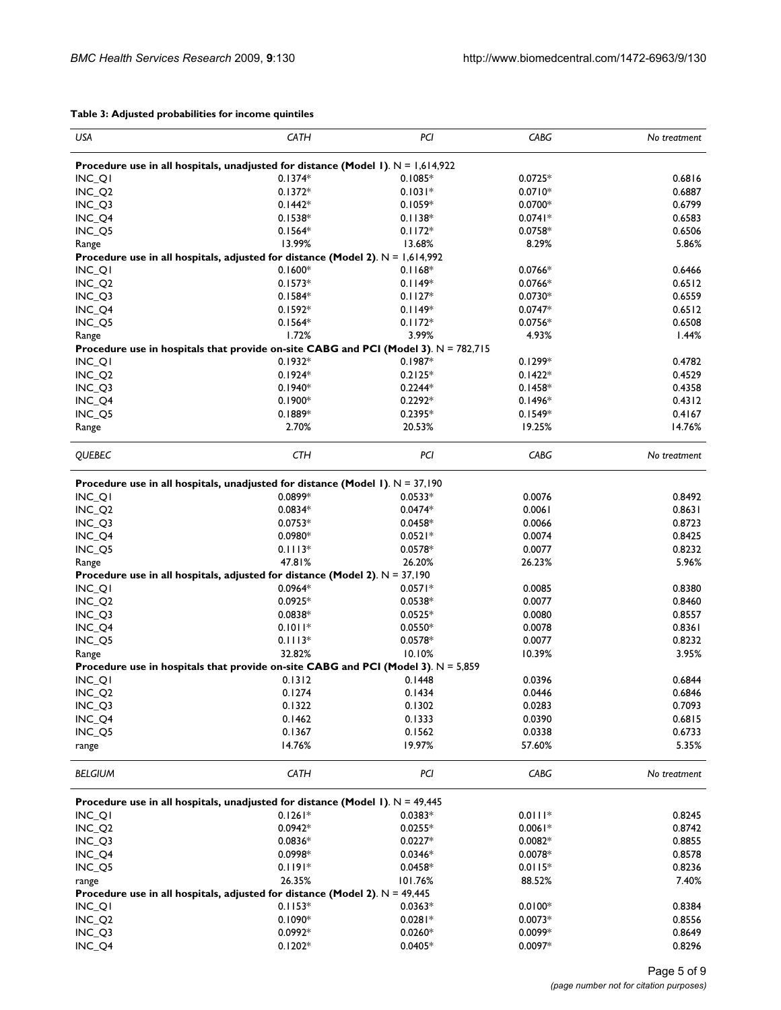#### **Table 3: Adjusted probabilities for income quintiles**

| USA                                                                                 | <b>CATH</b> | PCI       | CABG      | No treatment |  |  |  |
|-------------------------------------------------------------------------------------|-------------|-----------|-----------|--------------|--|--|--|
| Procedure use in all hospitals, unadjusted for distance (Model I). $N = 1,614,922$  |             |           |           |              |  |  |  |
| INC_Q1                                                                              | $0.1374*$   | $0.1085*$ | $0.0725*$ | 0.6816       |  |  |  |
| INC_Q <sub>2</sub>                                                                  | $0.1372*$   | $0.1031*$ | $0.0710*$ | 0.6887       |  |  |  |
| INC_Q3                                                                              | $0.1442*$   | $0.1059*$ | $0.0700*$ | 0.6799       |  |  |  |
| INC_Q4                                                                              | $0.1538*$   | $0.1138*$ | $0.0741*$ | 0.6583       |  |  |  |
| INC_Q5                                                                              | $0.1564*$   | $0.1172*$ | $0.0758*$ | 0.6506       |  |  |  |
| Range                                                                               | 13.99%      | 13.68%    | 8.29%     | 5.86%        |  |  |  |
| Procedure use in all hospitals, adjusted for distance (Model 2). $N = 1,614,992$    |             |           |           |              |  |  |  |
|                                                                                     |             | $0.1168*$ | $0.0766*$ |              |  |  |  |
| INC_Q1                                                                              | $0.1600*$   |           |           | 0.6466       |  |  |  |
| INC_Q <sub>2</sub>                                                                  | $0.1573*$   | $0.1149*$ | $0.0766*$ | 0.6512       |  |  |  |
| INC_Q3                                                                              | $0.1584*$   | $0.1127*$ | $0.0730*$ | 0.6559       |  |  |  |
| INC_Q4                                                                              | $0.1592*$   | $0.1149*$ | $0.0747*$ | 0.6512       |  |  |  |
| INC_Q5                                                                              | $0.1564*$   | $0.1172*$ | $0.0756*$ | 0.6508       |  |  |  |
| Range                                                                               | 1.72%       | 3.99%     | 4.93%     | 1.44%        |  |  |  |
| Procedure use in hospitals that provide on-site CABG and PCI (Model 3). N = 782,715 |             |           |           |              |  |  |  |
| INC_Q1                                                                              | $0.1932*$   | $0.1987*$ | $0.1299*$ | 0.4782       |  |  |  |
| INC_Q <sub>2</sub>                                                                  | $0.1924*$   | $0.2125*$ | $0.1422*$ | 0.4529       |  |  |  |
| $INC_Q3$                                                                            | $0.1940*$   | $0.2244*$ | $0.1458*$ | 0.4358       |  |  |  |
| INC_Q4                                                                              | $0.1900*$   | $0.2292*$ | $0.1496*$ | 0.4312       |  |  |  |
| INC_Q5                                                                              | $0.1889*$   | $0.2395*$ | $0.1549*$ | 0.4167       |  |  |  |
|                                                                                     |             |           |           |              |  |  |  |
| Range                                                                               | 2.70%       | 20.53%    | 19.25%    | 14.76%       |  |  |  |
| QUEBEC                                                                              | CTH         | PCI       | CABG      | No treatment |  |  |  |
| Procedure use in all hospitals, unadjusted for distance (Model 1). $N = 37,190$     |             |           |           |              |  |  |  |
| $INC_QI$                                                                            | 0.0899*     | $0.0533*$ | 0.0076    | 0.8492       |  |  |  |
| $INC_Q2$                                                                            | $0.0834*$   | $0.0474*$ | 0.0061    | 0.8631       |  |  |  |
| INC_Q3                                                                              | $0.0753*$   | $0.0458*$ | 0.0066    | 0.8723       |  |  |  |
| INC_Q4                                                                              | 0.0980*     | $0.0521*$ | 0.0074    | 0.8425       |  |  |  |
| INC_Q5                                                                              | $0.1113*$   | $0.0578*$ | 0.0077    | 0.8232       |  |  |  |
| Range                                                                               | 47.81%      | 26.20%    | 26.23%    | 5.96%        |  |  |  |
|                                                                                     |             |           |           |              |  |  |  |
| Procedure use in all hospitals, adjusted for distance (Model 2). $N = 37,190$       |             |           |           |              |  |  |  |
| INC_Q1                                                                              | $0.0964*$   | $0.0571*$ | 0.0085    | 0.8380       |  |  |  |
| INC_Q <sub>2</sub>                                                                  | $0.0925*$   | $0.0538*$ | 0.0077    | 0.8460       |  |  |  |
| INC_Q3                                                                              | $0.0838*$   | $0.0525*$ | 0.0080    | 0.8557       |  |  |  |
| INC O <sub>4</sub>                                                                  | $0.1011*$   | $0.0550*$ | 0.0078    | 0.8361       |  |  |  |
| INC_Q5                                                                              | $0.1113*$   | $0.0578*$ | 0.0077    | 0.8232       |  |  |  |
| Range                                                                               | 32.82%      | 10.10%    | 10.39%    | 3.95%        |  |  |  |
| Procedure use in hospitals that provide on-site CABG and PCI (Model 3). $N = 5,859$ |             |           |           |              |  |  |  |
| $INC_Q$                                                                             | 0.1312      | 0.1448    | 0.0396    | 0.6844       |  |  |  |
| INC_Q <sub>2</sub>                                                                  | 0.1274      | 0.1434    | 0.0446    | 0.6846       |  |  |  |
| INC_Q3                                                                              | 0.1322      | 0.1302    | 0.0283    | 0.7093       |  |  |  |
| INC_Q4                                                                              | 0.1462      | 0.1333    | 0.0390    | 0.6815       |  |  |  |
| INC_Q5                                                                              | 0.1367      | 0.1562    | 0.0338    | 0.6733       |  |  |  |
| range                                                                               | 14.76%      | 19.97%    | 57.60%    | 5.35%        |  |  |  |
| <b>BELGIUM</b>                                                                      | <b>CATH</b> | PCI       | CABG      | No treatment |  |  |  |
| Procedure use in all hospitals, unadjusted for distance (Model 1). $N = 49,445$     |             |           |           |              |  |  |  |
| $INC_QI$                                                                            | $0.1261*$   | $0.0383*$ | $0.0111*$ | 0.8245       |  |  |  |
|                                                                                     |             |           |           |              |  |  |  |
| INC_Q <sub>2</sub>                                                                  | $0.0942*$   | $0.0255*$ | $0.0061*$ | 0.8742       |  |  |  |
| INC_Q3                                                                              | $0.0836*$   | $0.0227*$ | $0.0082*$ | 0.8855       |  |  |  |
| INC_Q4                                                                              | 0.0998*     | $0.0346*$ | $0.0078*$ | 0.8578       |  |  |  |
| INC_Q5                                                                              | $0.1191*$   | $0.0458*$ | $0.0115*$ | 0.8236       |  |  |  |
| range                                                                               | 26.35%      | 101.76%   | 88.52%    | 7.40%        |  |  |  |
| Procedure use in all hospitals, adjusted for distance (Model 2). $N = 49,445$       |             |           |           |              |  |  |  |
| INC_Q1                                                                              | $0.1153*$   | $0.0363*$ | $0.0100*$ | 0.8384       |  |  |  |
| INC_Q <sub>2</sub>                                                                  | $0.1090*$   | $0.0281*$ | $0.0073*$ | 0.8556       |  |  |  |
| INC_Q3                                                                              | $0.0992*$   | $0.0260*$ | $0.0099*$ | 0.8649       |  |  |  |
| INC_Q4                                                                              | $0.1202*$   | $0.0405*$ | $0.0097*$ | 0.8296       |  |  |  |
|                                                                                     |             |           |           |              |  |  |  |

Page 5 of 9 *(page number not for citation purposes)*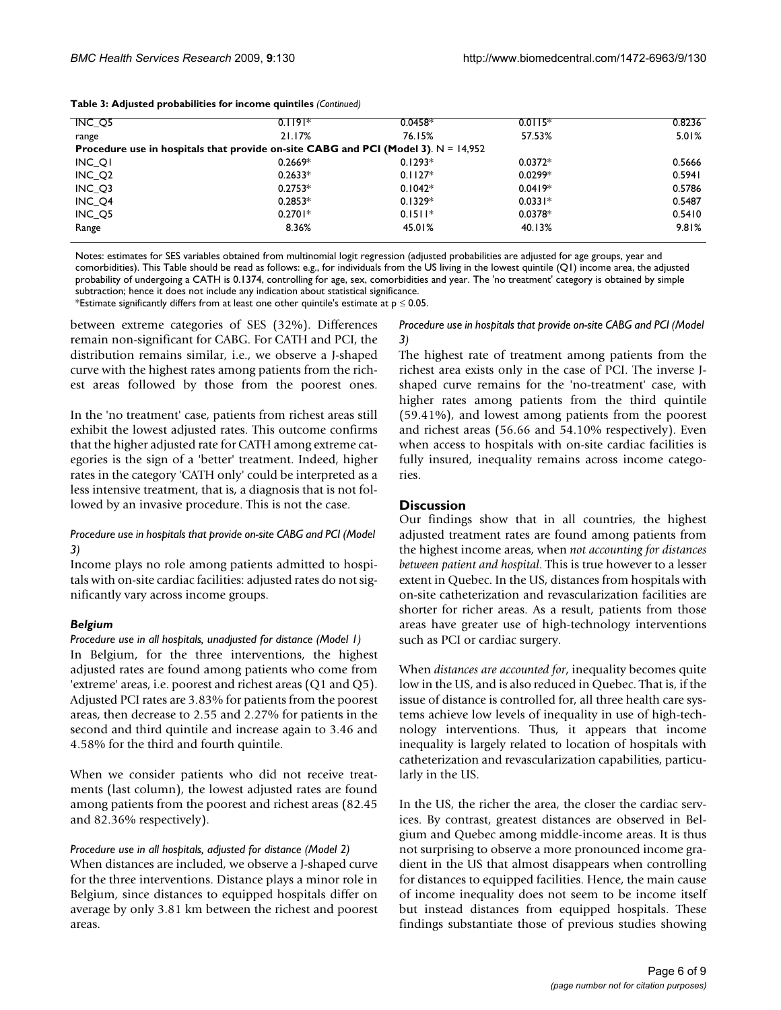| INC O5             | $0.1191*$                                                                            | $0.0458*$ | $0.0115*$ | 0.8236 |
|--------------------|--------------------------------------------------------------------------------------|-----------|-----------|--------|
| range              | 21.17%                                                                               | 76.15%    | 57.53%    | 5.01%  |
|                    | Procedure use in hospitals that provide on-site CABG and PCI (Model 3). $N = 14,952$ |           |           |        |
| INC OI             | $0.2669*$                                                                            | $0.1293*$ | $0.0372*$ | 0.5666 |
| INC Q <sub>2</sub> | $0.2633*$                                                                            | $0.1127*$ | $0.0299*$ | 0.5941 |
| INC O3             | $0.2753*$                                                                            | $0.1042*$ | $0.0419*$ | 0.5786 |
| INC O <sub>4</sub> | $0.2853*$                                                                            | $0.1329*$ | $0.0331*$ | 0.5487 |
| INC O5             | $0.2701*$                                                                            | $0.1511*$ | $0.0378*$ | 0.5410 |
| Range              | 8.36%                                                                                | 45.01%    | 40.13%    | 9.81%  |
|                    |                                                                                      |           |           |        |

#### **Table 3: Adjusted probabilities for income quintiles** *(Continued)*

Notes: estimates for SES variables obtained from multinomial logit regression (adjusted probabilities are adjusted for age groups, year and comorbidities). This Table should be read as follows: e.g., for individuals from the US living in the lowest quintile (Q1) income area, the adjusted probability of undergoing a CATH is 0.1374, controlling for age, sex, comorbidities and year. The 'no treatment' category is obtained by simple subtraction; hence it does not include any indication about statistical significance.

\*Estimate significantly differs from at least one other quintile's estimate at  $p \le 0.05$ .

between extreme categories of SES (32%). Differences remain non-significant for CABG. For CATH and PCI, the distribution remains similar, i.e., we observe a J-shaped curve with the highest rates among patients from the richest areas followed by those from the poorest ones.

In the 'no treatment' case, patients from richest areas still exhibit the lowest adjusted rates. This outcome confirms that the higher adjusted rate for CATH among extreme categories is the sign of a 'better' treatment. Indeed, higher rates in the category 'CATH only' could be interpreted as a less intensive treatment, that is, a diagnosis that is not followed by an invasive procedure. This is not the case.

### *Procedure use in hospitals that provide on-site CABG and PCI (Model 3)*

Income plays no role among patients admitted to hospitals with on-site cardiac facilities: adjusted rates do not significantly vary across income groups.

#### *Belgium*

# *Procedure use in all hospitals, unadjusted for distance (Model 1)*

In Belgium, for the three interventions, the highest adjusted rates are found among patients who come from 'extreme' areas, i.e. poorest and richest areas (Q1 and Q5). Adjusted PCI rates are 3.83% for patients from the poorest areas, then decrease to 2.55 and 2.27% for patients in the second and third quintile and increase again to 3.46 and 4.58% for the third and fourth quintile.

When we consider patients who did not receive treatments (last column), the lowest adjusted rates are found among patients from the poorest and richest areas (82.45 and 82.36% respectively).

#### *Procedure use in all hospitals, adjusted for distance (Model 2)*

When distances are included, we observe a J-shaped curve for the three interventions. Distance plays a minor role in Belgium, since distances to equipped hospitals differ on average by only 3.81 km between the richest and poorest areas.

*Procedure use in hospitals that provide on-site CABG and PCI (Model 3)*

The highest rate of treatment among patients from the richest area exists only in the case of PCI. The inverse Jshaped curve remains for the 'no-treatment' case, with higher rates among patients from the third quintile (59.41%), and lowest among patients from the poorest and richest areas (56.66 and 54.10% respectively). Even when access to hospitals with on-site cardiac facilities is fully insured, inequality remains across income categories.

#### **Discussion**

Our findings show that in all countries, the highest adjusted treatment rates are found among patients from the highest income areas, when *not accounting for distances between patient and hospital*. This is true however to a lesser extent in Quebec. In the US, distances from hospitals with on-site catheterization and revascularization facilities are shorter for richer areas. As a result, patients from those areas have greater use of high-technology interventions such as PCI or cardiac surgery.

When *distances are accounted for*, inequality becomes quite low in the US, and is also reduced in Quebec. That is, if the issue of distance is controlled for, all three health care systems achieve low levels of inequality in use of high-technology interventions. Thus, it appears that income inequality is largely related to location of hospitals with catheterization and revascularization capabilities, particularly in the US.

In the US, the richer the area, the closer the cardiac services. By contrast, greatest distances are observed in Belgium and Quebec among middle-income areas. It is thus not surprising to observe a more pronounced income gradient in the US that almost disappears when controlling for distances to equipped facilities. Hence, the main cause of income inequality does not seem to be income itself but instead distances from equipped hospitals. These findings substantiate those of previous studies showing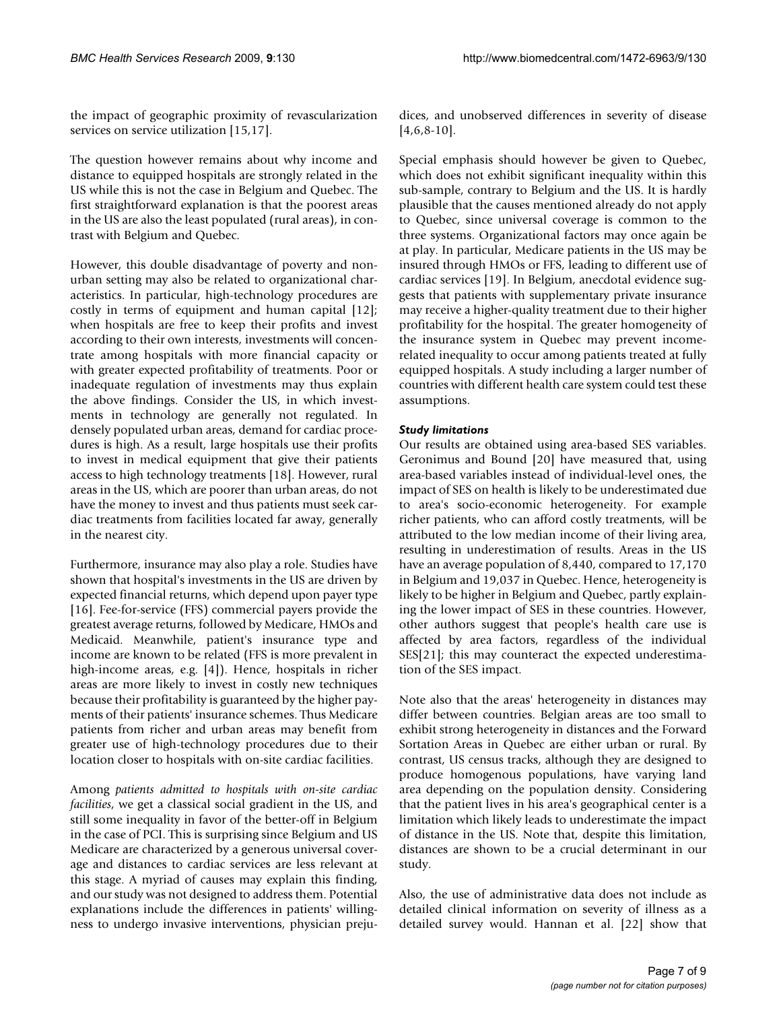the impact of geographic proximity of revascularization services on service utilization [15,17].

The question however remains about why income and distance to equipped hospitals are strongly related in the US while this is not the case in Belgium and Quebec. The first straightforward explanation is that the poorest areas in the US are also the least populated (rural areas), in contrast with Belgium and Quebec.

However, this double disadvantage of poverty and nonurban setting may also be related to organizational characteristics. In particular, high-technology procedures are costly in terms of equipment and human capital [12]; when hospitals are free to keep their profits and invest according to their own interests, investments will concentrate among hospitals with more financial capacity or with greater expected profitability of treatments. Poor or inadequate regulation of investments may thus explain the above findings. Consider the US, in which investments in technology are generally not regulated. In densely populated urban areas, demand for cardiac procedures is high. As a result, large hospitals use their profits to invest in medical equipment that give their patients access to high technology treatments [18]. However, rural areas in the US, which are poorer than urban areas, do not have the money to invest and thus patients must seek cardiac treatments from facilities located far away, generally in the nearest city.

Furthermore, insurance may also play a role. Studies have shown that hospital's investments in the US are driven by expected financial returns, which depend upon payer type [16]. Fee-for-service (FFS) commercial payers provide the greatest average returns, followed by Medicare, HMOs and Medicaid. Meanwhile, patient's insurance type and income are known to be related (FFS is more prevalent in high-income areas, e.g. [4]). Hence, hospitals in richer areas are more likely to invest in costly new techniques because their profitability is guaranteed by the higher payments of their patients' insurance schemes. Thus Medicare patients from richer and urban areas may benefit from greater use of high-technology procedures due to their location closer to hospitals with on-site cardiac facilities.

Among *patients admitted to hospitals with on-site cardiac facilities*, we get a classical social gradient in the US, and still some inequality in favor of the better-off in Belgium in the case of PCI. This is surprising since Belgium and US Medicare are characterized by a generous universal coverage and distances to cardiac services are less relevant at this stage. A myriad of causes may explain this finding, and our study was not designed to address them. Potential explanations include the differences in patients' willingness to undergo invasive interventions, physician prejudices, and unobserved differences in severity of disease  $[4,6,8-10]$ .

Special emphasis should however be given to Quebec, which does not exhibit significant inequality within this sub-sample, contrary to Belgium and the US. It is hardly plausible that the causes mentioned already do not apply to Quebec, since universal coverage is common to the three systems. Organizational factors may once again be at play. In particular, Medicare patients in the US may be insured through HMOs or FFS, leading to different use of cardiac services [19]. In Belgium, anecdotal evidence suggests that patients with supplementary private insurance may receive a higher-quality treatment due to their higher profitability for the hospital. The greater homogeneity of the insurance system in Quebec may prevent incomerelated inequality to occur among patients treated at fully equipped hospitals. A study including a larger number of countries with different health care system could test these assumptions.

### *Study limitations*

Our results are obtained using area-based SES variables. Geronimus and Bound [20] have measured that, using area-based variables instead of individual-level ones, the impact of SES on health is likely to be underestimated due to area's socio-economic heterogeneity. For example richer patients, who can afford costly treatments, will be attributed to the low median income of their living area, resulting in underestimation of results. Areas in the US have an average population of 8,440, compared to 17,170 in Belgium and 19,037 in Quebec. Hence, heterogeneity is likely to be higher in Belgium and Quebec, partly explaining the lower impact of SES in these countries. However, other authors suggest that people's health care use is affected by area factors, regardless of the individual SES[21]; this may counteract the expected underestimation of the SES impact.

Note also that the areas' heterogeneity in distances may differ between countries. Belgian areas are too small to exhibit strong heterogeneity in distances and the Forward Sortation Areas in Quebec are either urban or rural. By contrast, US census tracks, although they are designed to produce homogenous populations, have varying land area depending on the population density. Considering that the patient lives in his area's geographical center is a limitation which likely leads to underestimate the impact of distance in the US. Note that, despite this limitation, distances are shown to be a crucial determinant in our study.

Also, the use of administrative data does not include as detailed clinical information on severity of illness as a detailed survey would. Hannan et al. [22] show that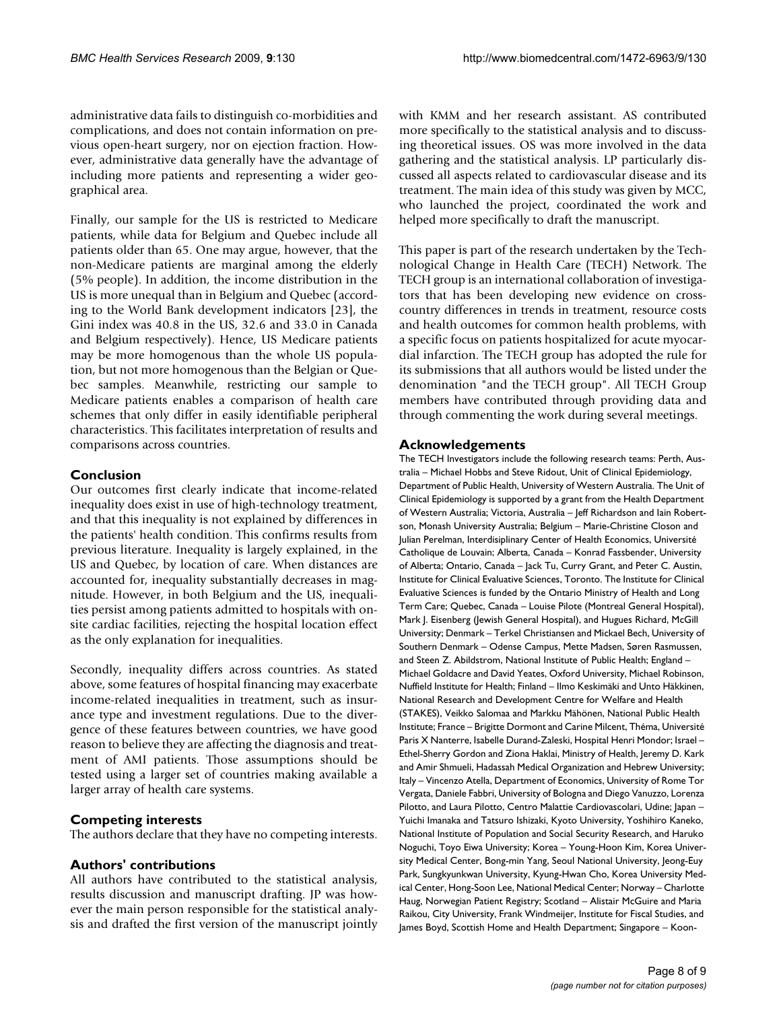administrative data fails to distinguish co-morbidities and complications, and does not contain information on previous open-heart surgery, nor on ejection fraction. However, administrative data generally have the advantage of including more patients and representing a wider geographical area.

Finally, our sample for the US is restricted to Medicare patients, while data for Belgium and Quebec include all patients older than 65. One may argue, however, that the non-Medicare patients are marginal among the elderly (5% people). In addition, the income distribution in the US is more unequal than in Belgium and Quebec (according to the World Bank development indicators [23], the Gini index was 40.8 in the US, 32.6 and 33.0 in Canada and Belgium respectively). Hence, US Medicare patients may be more homogenous than the whole US population, but not more homogenous than the Belgian or Quebec samples. Meanwhile, restricting our sample to Medicare patients enables a comparison of health care schemes that only differ in easily identifiable peripheral characteristics. This facilitates interpretation of results and comparisons across countries.

# **Conclusion**

Our outcomes first clearly indicate that income-related inequality does exist in use of high-technology treatment, and that this inequality is not explained by differences in the patients' health condition. This confirms results from previous literature. Inequality is largely explained, in the US and Quebec, by location of care. When distances are accounted for, inequality substantially decreases in magnitude. However, in both Belgium and the US, inequalities persist among patients admitted to hospitals with onsite cardiac facilities, rejecting the hospital location effect as the only explanation for inequalities.

Secondly, inequality differs across countries. As stated above, some features of hospital financing may exacerbate income-related inequalities in treatment, such as insurance type and investment regulations. Due to the divergence of these features between countries, we have good reason to believe they are affecting the diagnosis and treatment of AMI patients. Those assumptions should be tested using a larger set of countries making available a larger array of health care systems.

# **Competing interests**

The authors declare that they have no competing interests.

# **Authors' contributions**

All authors have contributed to the statistical analysis, results discussion and manuscript drafting. JP was however the main person responsible for the statistical analysis and drafted the first version of the manuscript jointly with KMM and her research assistant. AS contributed more specifically to the statistical analysis and to discussing theoretical issues. OS was more involved in the data gathering and the statistical analysis. LP particularly discussed all aspects related to cardiovascular disease and its treatment. The main idea of this study was given by MCC, who launched the project, coordinated the work and helped more specifically to draft the manuscript.

This paper is part of the research undertaken by the Technological Change in Health Care (TECH) Network. The TECH group is an international collaboration of investigators that has been developing new evidence on crosscountry differences in trends in treatment, resource costs and health outcomes for common health problems, with a specific focus on patients hospitalized for acute myocardial infarction. The TECH group has adopted the rule for its submissions that all authors would be listed under the denomination "and the TECH group". All TECH Group members have contributed through providing data and through commenting the work during several meetings.

# **Acknowledgements**

The TECH Investigators include the following research teams: Perth, Australia – Michael Hobbs and Steve Ridout, Unit of Clinical Epidemiology, Department of Public Health, University of Western Australia. The Unit of Clinical Epidemiology is supported by a grant from the Health Department of Western Australia; Victoria, Australia – Jeff Richardson and Iain Robertson, Monash University Australia; Belgium – Marie-Christine Closon and Julian Perelman, Interdisiplinary Center of Health Economics, Université Catholique de Louvain; Alberta, Canada – Konrad Fassbender, University of Alberta; Ontario, Canada – Jack Tu, Curry Grant, and Peter C. Austin, Institute for Clinical Evaluative Sciences, Toronto. The Institute for Clinical Evaluative Sciences is funded by the Ontario Ministry of Health and Long Term Care; Quebec, Canada – Louise Pilote (Montreal General Hospital), Mark J. Eisenberg (Jewish General Hospital), and Hugues Richard, McGill University; Denmark – Terkel Christiansen and Mickael Bech, University of Southern Denmark – Odense Campus, Mette Madsen, Søren Rasmussen, and Steen Z. Abildstrom, National Institute of Public Health; England – Michael Goldacre and David Yeates, Oxford University, Michael Robinson, Nuffield Institute for Health; Finland – Ilmo Keskimäki and Unto Häkkinen, National Research and Development Centre for Welfare and Health (STAKES), Veikko Salomaa and Markku Mähönen, National Public Health Institute; France – Brigitte Dormont and Carine Milcent, Théma, Université Paris X Nanterre, Isabelle Durand-Zaleski, Hospital Henri Mondor; Israel -Ethel-Sherry Gordon and Ziona Haklai, Ministry of Health, Jeremy D. Kark and Amir Shmueli, Hadassah Medical Organization and Hebrew University; Italy – Vincenzo Atella, Department of Economics, University of Rome Tor Vergata, Daniele Fabbri, University of Bologna and Diego Vanuzzo, Lorenza Pilotto, and Laura Pilotto, Centro Malattie Cardiovascolari, Udine; Japan -Yuichi Imanaka and Tatsuro Ishizaki, Kyoto University, Yoshihiro Kaneko, National Institute of Population and Social Security Research, and Haruko Noguchi, Toyo Eiwa University; Korea – Young-Hoon Kim, Korea University Medical Center, Bong-min Yang, Seoul National University, Jeong-Euy Park, Sungkyunkwan University, Kyung-Hwan Cho, Korea University Medical Center, Hong-Soon Lee, National Medical Center; Norway – Charlotte Haug, Norwegian Patient Registry; Scotland – Alistair McGuire and Maria Raikou, City University, Frank Windmeijer, Institute for Fiscal Studies, and James Boyd, Scottish Home and Health Department; Singapore – Koon